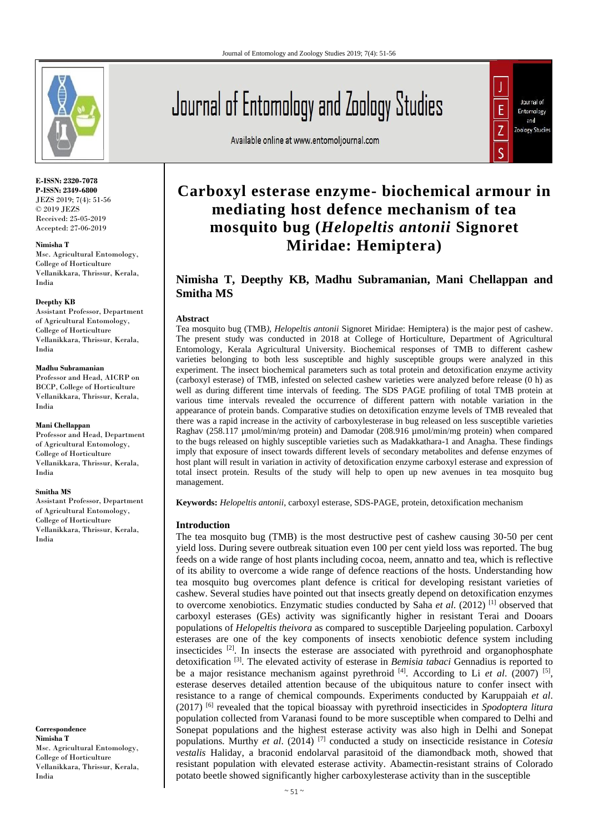

**E-ISSN: 2320-7078 P-ISSN: 2349-6800** JEZS 2019; 7(4): 51-56 © 2019 JEZS Received: 25-05-2019 Accepted: 27-06-2019

#### **Nimisha T**

Msc. Agricultural Entomology, College of Horticulture Vellanikkara, Thrissur, Kerala, India

#### **Deepthy KB**

Assistant Professor, Department of Agricultural Entomology, College of Horticulture Vellanikkara, Thrissur, Kerala, India

#### **Madhu Subramanian**

Professor and Head, AICRP on BCCP, College of Horticulture Vellanikkara, Thrissur, Kerala, India

#### **Mani Chellappan**

Professor and Head, Department of Agricultural Entomology, College of Horticulture Vellanikkara, Thrissur, Kerala, India

#### **Smitha MS**

Assistant Professor, Department of Agricultural Entomology, College of Horticulture Vellanikkara, Thrissur, Kerala, India

**Correspondence Nimisha T** Msc. Agricultural Entomology, College of Horticulture Vellanikkara, Thrissur, Kerala, India

# Journal of Entomology and Zoology Studies

Available online at www.entomoljournal.com



# **Carboxyl esterase enzyme- biochemical armour in mediating host defence mechanism of tea mosquito bug (***Helopeltis antonii* **Signoret Miridae: Hemiptera)**

# **Nimisha T, Deepthy KB, Madhu Subramanian, Mani Chellappan and Smitha MS**

#### **Abstract**

Tea mosquito bug (TMB*)*, *Helopeltis antonii* Signoret Miridae: Hemiptera) is the major pest of cashew. The present study was conducted in 2018 at College of Horticulture, Department of Agricultural Entomology, Kerala Agricultural University. Biochemical responses of TMB to different cashew varieties belonging to both less susceptible and highly susceptible groups were analyzed in this experiment. The insect biochemical parameters such as total protein and detoxification enzyme activity (carboxyl esterase) of TMB, infested on selected cashew varieties were analyzed before release (0 h) as well as during different time intervals of feeding. The SDS PAGE profiling of total TMB protein at various time intervals revealed the occurrence of different pattern with notable variation in the appearance of protein bands. Comparative studies on detoxification enzyme levels of TMB revealed that there was a rapid increase in the activity of carboxylesterase in bug released on less susceptible varieties Raghav (258.117 µmol/min/mg protein) and Damodar (208.916 µmol/min/mg protein) when compared to the bugs released on highly susceptible varieties such as Madakkathara-1 and Anagha. These findings imply that exposure of insect towards different levels of secondary metabolites and defense enzymes of host plant will result in variation in activity of detoxification enzyme carboxyl esterase and expression of total insect protein. Results of the study will help to open up new avenues in tea mosquito bug management.

**Keywords:** *Helopeltis antonii*, carboxyl esterase, SDS-PAGE, protein, detoxification mechanism

#### **Introduction**

The tea mosquito bug (TMB) is the most destructive pest of cashew causing 30-50 per cent yield loss. During severe outbreak situation even 100 per cent yield loss was reported. The bug feeds on a wide range of host plants including cocoa, neem, annatto and tea, which is reflective of its ability to overcome a wide range of defence reactions of the hosts. Understanding how tea mosquito bug overcomes plant defence is critical for developing resistant varieties of cashew. Several studies have pointed out that insects greatly depend on detoxification enzymes to overcome xenobiotics. Enzymatic studies conducted by Saha *et al*. (2012) [1] observed that carboxyl esterases (GEs) activity was significantly higher in resistant Terai and Dooars populations of *Helopeltis theivora* as compared to susceptible Darjeeling population. Carboxyl esterases are one of the key components of insects xenobiotic defence system including insecticides  $[2]$ . In insects the esterase are associated with pyrethroid and organophosphate detoxification [3]. The elevated activity of esterase in *Bemisia tabaci* Gennadius is reported to be a major resistance mechanism against pyrethroid <sup>[4]</sup>. According to Li *et al.* (2007)<sup>[5]</sup>, esterase deserves detailed attention because of the ubiquitous nature to confer insect with resistance to a range of chemical compounds. Experiments conducted by Karuppaiah *et al*. (2017) [6] revealed that the topical bioassay with pyrethroid insecticides in *Spodoptera litura*  population collected from Varanasi found to be more susceptible when compared to Delhi and Sonepat populations and the highest esterase activity was also high in Delhi and Sonepat populations. Murthy *et al*. (2014) [7] conducted a study on insecticide resistance in *Cotesia vestalis* Haliday, a braconid endolarval parasitoid of the diamondback moth, showed that resistant population with elevated esterase activity. Abamectin-resistant strains of Colorado potato beetle showed significantly higher carboxylesterase activity than in the susceptible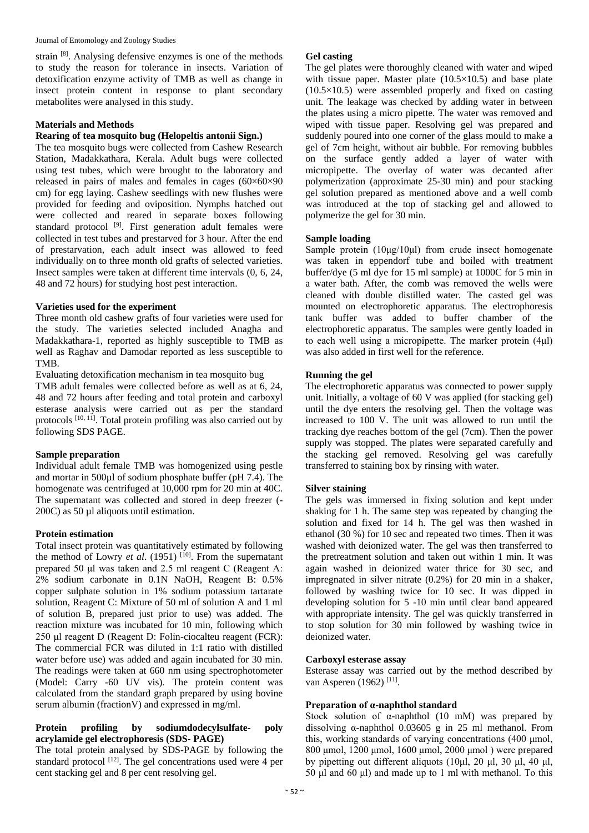#### Journal of Entomology and Zoology Studies

strain [8]. Analysing defensive enzymes is one of the methods to study the reason for tolerance in insects. Variation of detoxification enzyme activity of TMB as well as change in insect protein content in response to plant secondary metabolites were analysed in this study.

#### **Materials and Methods**

# **Rearing of tea mosquito bug (Helopeltis antonii Sign.)**

The tea mosquito bugs were collected from Cashew Research Station, Madakkathara, Kerala. Adult bugs were collected using test tubes, which were brought to the laboratory and released in pairs of males and females in cages (60×60×90 cm) for egg laying. Cashew seedlings with new flushes were provided for feeding and oviposition. Nymphs hatched out were collected and reared in separate boxes following standard protocol  $[9]$ . First generation adult females were collected in test tubes and prestarved for 3 hour. After the end of prestarvation, each adult insect was allowed to feed individually on to three month old grafts of selected varieties. Insect samples were taken at different time intervals (0, 6, 24, 48 and 72 hours) for studying host pest interaction.

#### **Varieties used for the experiment**

Three month old cashew grafts of four varieties were used for the study. The varieties selected included Anagha and Madakkathara-1, reported as highly susceptible to TMB as well as Raghav and Damodar reported as less susceptible to TMB.

Evaluating detoxification mechanism in tea mosquito bug TMB adult females were collected before as well as at 6, 24, 48 and 72 hours after feeding and total protein and carboxyl esterase analysis were carried out as per the standard protocols <sup>[10, 11]</sup>. Total protein profiling was also carried out by following SDS PAGE.

#### **Sample preparation**

Individual adult female TMB was homogenized using pestle and mortar in 500µl of sodium phosphate buffer (pH 7.4). The homogenate was centrifuged at 10,000 rpm for 20 min at 40C. The supernatant was collected and stored in deep freezer (- 200C) as 50 µl aliquots until estimation.

# **Protein estimation**

Total insect protein was quantitatively estimated by following the method of Lowry *et al.* (1951)  $[10]$ . From the supernatant prepared 50 μl was taken and 2.5 ml reagent C (Reagent A: 2% sodium carbonate in 0.1N NaOH, Reagent B: 0.5% copper sulphate solution in 1% sodium potassium tartarate solution, Reagent C: Mixture of 50 ml of solution A and 1 ml of solution B, prepared just prior to use) was added. The reaction mixture was incubated for 10 min, following which 250 μl reagent D (Reagent D: Folin-ciocalteu reagent (FCR): The commercial FCR was diluted in 1:1 ratio with distilled water before use) was added and again incubated for 30 min. The readings were taken at 660 nm using spectrophotometer (Model: Carry -60 UV vis). The protein content was calculated from the standard graph prepared by using bovine serum albumin (fractionV) and expressed in mg/ml.

#### **Protein profiling by sodiumdodecylsulfate- poly acrylamide gel electrophoresis (SDS- PAGE)**

The total protein analysed by SDS-PAGE by following the standard protocol  $[12]$ . The gel concentrations used were 4 per cent stacking gel and 8 per cent resolving gel.

### **Gel casting**

The gel plates were thoroughly cleaned with water and wiped with tissue paper. Master plate  $(10.5 \times 10.5)$  and base plate (10.5×10.5) were assembled properly and fixed on casting unit. The leakage was checked by adding water in between the plates using a micro pipette. The water was removed and wiped with tissue paper. Resolving gel was prepared and suddenly poured into one corner of the glass mould to make a gel of 7cm height, without air bubble. For removing bubbles on the surface gently added a layer of water with micropipette. The overlay of water was decanted after polymerization (approximate 25-30 min) and pour stacking gel solution prepared as mentioned above and a well comb was introduced at the top of stacking gel and allowed to polymerize the gel for 30 min.

#### **Sample loading**

Sample protein (10μg/10μl) from crude insect homogenate was taken in eppendorf tube and boiled with treatment buffer/dye (5 ml dye for 15 ml sample) at 1000C for 5 min in a water bath. After, the comb was removed the wells were cleaned with double distilled water. The casted gel was mounted on electrophoretic apparatus. The electrophoresis tank buffer was added to buffer chamber of the electrophoretic apparatus. The samples were gently loaded in to each well using a micropipette. The marker protein (4μl) was also added in first well for the reference.

# **Running the gel**

The electrophoretic apparatus was connected to power supply unit. Initially, a voltage of 60 V was applied (for stacking gel) until the dye enters the resolving gel. Then the voltage was increased to 100 V. The unit was allowed to run until the tracking dye reaches bottom of the gel (7cm). Then the power supply was stopped. The plates were separated carefully and the stacking gel removed. Resolving gel was carefully transferred to staining box by rinsing with water.

# **Silver staining**

The gels was immersed in fixing solution and kept under shaking for 1 h. The same step was repeated by changing the solution and fixed for 14 h. The gel was then washed in ethanol (30 %) for 10 sec and repeated two times. Then it was washed with deionized water. The gel was then transferred to the pretreatment solution and taken out within 1 min. It was again washed in deionized water thrice for 30 sec, and impregnated in silver nitrate (0.2%) for 20 min in a shaker, followed by washing twice for 10 sec. It was dipped in developing solution for 5 -10 min until clear band appeared with appropriate intensity. The gel was quickly transferred in to stop solution for 30 min followed by washing twice in deionized water.

#### **Carboxyl esterase assay**

Esterase assay was carried out by the method described by van Asperen (1962)<sup>[11]</sup>.

#### **Preparation of α-naphthol standard**

Stock solution of α-naphthol (10 mM) was prepared by dissolving α-naphthol 0.03605 g in 25 ml methanol. From this, working standards of varying concentrations (400 μmol, 800 μmol, 1200 μmol, 1600 μmol, 2000 μmol ) were prepared by pipetting out different aliquots (10μl, 20 μl, 30 μl, 40 μl, 50 μl and 60 μl) and made up to 1 ml with methanol. To this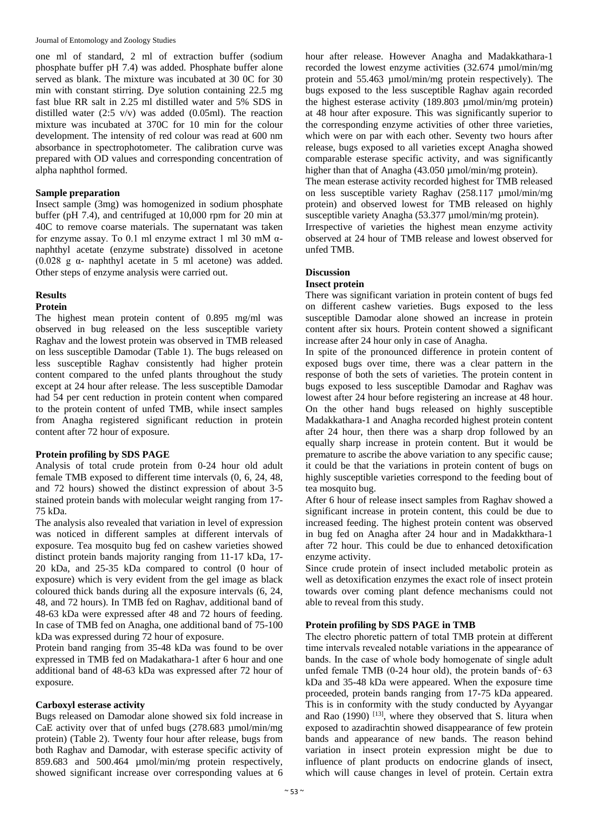one ml of standard, 2 ml of extraction buffer (sodium phosphate buffer pH 7.4) was added. Phosphate buffer alone served as blank. The mixture was incubated at 30 0C for 30 min with constant stirring. Dye solution containing 22.5 mg fast blue RR salt in 2.25 ml distilled water and 5% SDS in distilled water (2:5 v/v) was added (0.05ml). The reaction mixture was incubated at 370C for 10 min for the colour development. The intensity of red colour was read at 600 nm absorbance in spectrophotometer. The calibration curve was prepared with OD values and corresponding concentration of alpha naphthol formed.

# **Sample preparation**

Insect sample (3mg) was homogenized in sodium phosphate buffer (pH 7.4), and centrifuged at 10,000 rpm for 20 min at 40C to remove coarse materials. The supernatant was taken for enzyme assay. To 0.1 ml enzyme extract 1 ml 30 mM  $\alpha$ naphthyl acetate (enzyme substrate) dissolved in acetone (0.028 g  $\alpha$ - naphthyl acetate in 5 ml acetone) was added. Other steps of enzyme analysis were carried out.

# **Results**

#### **Protein**

The highest mean protein content of 0.895 mg/ml was observed in bug released on the less susceptible variety Raghav and the lowest protein was observed in TMB released on less susceptible Damodar (Table 1). The bugs released on less susceptible Raghav consistently had higher protein content compared to the unfed plants throughout the study except at 24 hour after release. The less susceptible Damodar had 54 per cent reduction in protein content when compared to the protein content of unfed TMB, while insect samples from Anagha registered significant reduction in protein content after 72 hour of exposure.

# **Protein profiling by SDS PAGE**

Analysis of total crude protein from 0-24 hour old adult female TMB exposed to different time intervals (0, 6, 24, 48, and 72 hours) showed the distinct expression of about 3-5 stained protein bands with molecular weight ranging from 17- 75 kDa.

The analysis also revealed that variation in level of expression was noticed in different samples at different intervals of exposure. Tea mosquito bug fed on cashew varieties showed distinct protein bands majority ranging from 11-17 kDa, 17- 20 kDa, and 25-35 kDa compared to control (0 hour of exposure) which is very evident from the gel image as black coloured thick bands during all the exposure intervals (6, 24, 48, and 72 hours). In TMB fed on Raghav, additional band of 48-63 kDa were expressed after 48 and 72 hours of feeding. In case of TMB fed on Anagha, one additional band of 75-100 kDa was expressed during 72 hour of exposure.

Protein band ranging from 35-48 kDa was found to be over expressed in TMB fed on Madakathara-1 after 6 hour and one additional band of 48-63 kDa was expressed after 72 hour of exposure.

#### **Carboxyl esterase activity**

Bugs released on Damodar alone showed six fold increase in CaE activity over that of unfed bugs (278.683 µmol/min/mg protein) (Table 2). Twenty four hour after release, bugs from both Raghav and Damodar, with esterase specific activity of 859.683 and 500.464 µmol/min/mg protein respectively, showed significant increase over corresponding values at 6

hour after release. However Anagha and Madakkathara-1 recorded the lowest enzyme activities (32.674 µmol/min/mg protein and 55.463 µmol/min/mg protein respectively). The bugs exposed to the less susceptible Raghav again recorded the highest esterase activity (189.803 µmol/min/mg protein) at 48 hour after exposure. This was significantly superior to the corresponding enzyme activities of other three varieties, which were on par with each other. Seventy two hours after release, bugs exposed to all varieties except Anagha showed comparable esterase specific activity, and was significantly higher than that of Anagha (43.050 µmol/min/mg protein).

The mean esterase activity recorded highest for TMB released on less susceptible variety Raghav (258.117 µmol/min/mg protein) and observed lowest for TMB released on highly susceptible variety Anagha (53.377 µmol/min/mg protein). Irrespective of varieties the highest mean enzyme activity

observed at 24 hour of TMB release and lowest observed for unfed TMB.

## **Discussion**

#### **Insect protein**

There was significant variation in protein content of bugs fed on different cashew varieties. Bugs exposed to the less susceptible Damodar alone showed an increase in protein content after six hours. Protein content showed a significant increase after 24 hour only in case of Anagha.

In spite of the pronounced difference in protein content of exposed bugs over time, there was a clear pattern in the response of both the sets of varieties. The protein content in bugs exposed to less susceptible Damodar and Raghav was lowest after 24 hour before registering an increase at 48 hour. On the other hand bugs released on highly susceptible Madakkathara-1 and Anagha recorded highest protein content after 24 hour, then there was a sharp drop followed by an equally sharp increase in protein content. But it would be premature to ascribe the above variation to any specific cause; it could be that the variations in protein content of bugs on highly susceptible varieties correspond to the feeding bout of tea mosquito bug.

After 6 hour of release insect samples from Raghav showed a significant increase in protein content, this could be due to increased feeding. The highest protein content was observed in bug fed on Anagha after 24 hour and in Madakkthara-1 after 72 hour. This could be due to enhanced detoxification enzyme activity.

Since crude protein of insect included metabolic protein as well as detoxification enzymes the exact role of insect protein towards over coming plant defence mechanisms could not able to reveal from this study.

# **Protein profiling by SDS PAGE in TMB**

The electro phoretic pattern of total TMB protein at different time intervals revealed notable variations in the appearance of bands. In the case of whole body homogenate of single adult unfed female TMB (0-24 hour old), the protein bands of  $\sim 63$ kDa and 35-48 kDa were appeared. When the exposure time proceeded, protein bands ranging from 17-75 kDa appeared. This is in conformity with the study conducted by Ayyangar and Rao  $(1990)$  <sup>[13]</sup>, where they observed that S. litura when exposed to azadirachtin showed disappearance of few protein bands and appearance of new bands. The reason behind variation in insect protein expression might be due to influence of plant products on endocrine glands of insect, which will cause changes in level of protein. Certain extra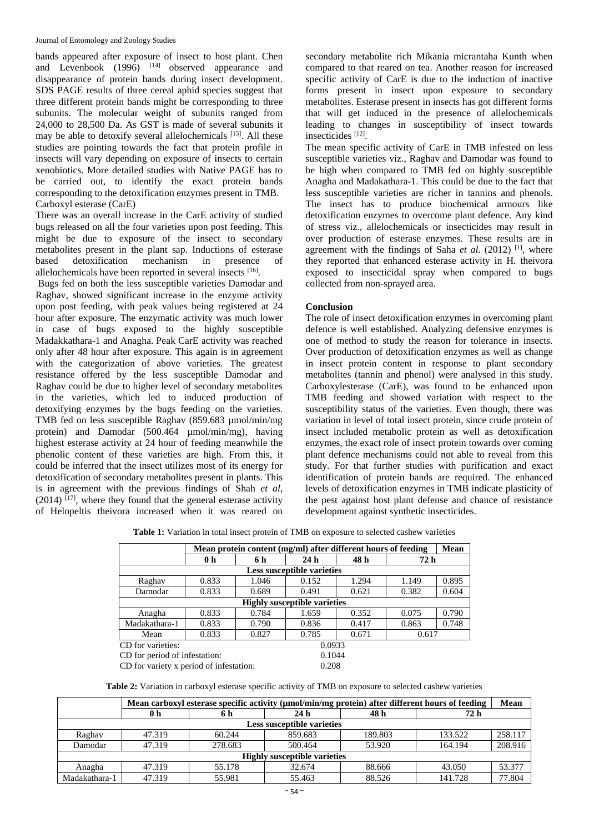#### Journal of Entomology and Zoology Studies

bands appeared after exposure of insect to host plant. Chen and Levenbook (1996) <sup>[14]</sup> observed appearance and disappearance of protein bands during insect development. SDS PAGE results of three cereal aphid species suggest that three different protein bands might be corresponding to three subunits. The molecular weight of subunits ranged from 24,000 to 28,500 Da. As GST is made of several subunits it may be able to detoxify several allelochemicals [15]. All these studies are pointing towards the fact that protein profile in insects will vary depending on exposure of insects to certain xenobiotics. More detailed studies with Native PAGE has to be carried out, to identify the exact protein bands corresponding to the detoxification enzymes present in TMB. Carboxyl esterase (CarE)

There was an overall increase in the CarE activity of studied bugs released on all the four varieties upon post feeding. This might be due to exposure of the insect to secondary metabolites present in the plant sap. Inductions of esterase based detoxification mechanism in presence of allelochemicals have been reported in several insects [16].

Bugs fed on both the less susceptible varieties Damodar and Raghav, showed significant increase in the enzyme activity upon post feeding, with peak values being registered at 24 hour after exposure. The enzymatic activity was much lower in case of bugs exposed to the highly susceptible Madakkathara-1 and Anagha. Peak CarE activity was reached only after 48 hour after exposure. This again is in agreement with the categorization of above varieties. The greatest resistance offered by the less susceptible Damodar and Raghav could be due to higher level of secondary metabolites in the varieties, which led to induced production of detoxifying enzymes by the bugs feeding on the varieties. TMB fed on less susceptible Raghav (859.683 µmol/min/mg protein) and Damodar (500.464 µmol/min/mg), having highest esterase activity at 24 hour of feeding meanwhile the phenolic content of these varieties are high. From this, it could be inferred that the insect utilizes most of its energy for detoxification of secondary metabolites present in plants. This is in agreement with the previous findings of Shah *et al*,  $(2014)$  <sup>[17]</sup>, where they found that the general esterase activity of Helopeltis theivora increased when it was reared on

secondary metabolite rich Mikania micrantaha Kunth when compared to that reared on tea. Another reason for increased specific activity of CarE is due to the induction of inactive forms present in insect upon exposure to secondary metabolites. Esterase present in insects has got different forms that will get induced in the presence of allelochemicals leading to changes in susceptibility of insect towards insecticides [12] .

The mean specific activity of CarE in TMB infested on less susceptible varieties viz., Raghav and Damodar was found to be high when compared to TMB fed on highly susceptible Anagha and Madakathara-1. This could be due to the fact that less susceptible varieties are richer in tannins and phenols. The insect has to produce biochemical armours like detoxification enzymes to overcome plant defence. Any kind of stress viz., allelochemicals or insecticides may result in over production of esterase enzymes. These results are in agreement with the findings of Saha *et al*. (2012) [1], where they reported that enhanced esterase activity in H. theivora exposed to insecticidal spray when compared to bugs collected from non-sprayed area.

#### **Conclusion**

The role of insect detoxification enzymes in overcoming plant defence is well established. Analyzing defensive enzymes is one of method to study the reason for tolerance in insects. Over production of detoxification enzymes as well as change in insect protein content in response to plant secondary metabolites (tannin and phenol) were analysed in this study. Carboxylesterase (CarE), was found to be enhanced upon TMB feeding and showed variation with respect to the susceptibility status of the varieties. Even though, there was variation in level of total insect protein, since crude protein of insect included metabolic protein as well as detoxification enzymes, the exact role of insect protein towards over coming plant defence mechanisms could not able to reveal from this study. For that further studies with purification and exact identification of protein bands are required. The enhanced levels of detoxification enzymes in TMB indicate plasticity of the pest against host plant defense and chance of resistance development against synthetic insecticides.

**Table 1:** Variation in total insect protein of TMB on exposure to selected cashew varieties

|                                                  | Mean protein content (mg/ml) after different hours of feeding |       |                 |       |       | Mean  |  |
|--------------------------------------------------|---------------------------------------------------------------|-------|-----------------|-------|-------|-------|--|
|                                                  | 0 <sub>h</sub>                                                | 6 h   | 24 <sub>h</sub> | 48 h  | 72 h  |       |  |
| <b>Less susceptible varieties</b>                |                                                               |       |                 |       |       |       |  |
| Raghay                                           | 0.833                                                         | 1.046 | 0.152           | 1.294 | 1.149 | 0.895 |  |
| Damodar                                          | 0.833                                                         | 0.689 | 0.491           | 0.621 | 0.382 | 0.604 |  |
| <b>Highly susceptible varieties</b>              |                                                               |       |                 |       |       |       |  |
| Anagha                                           | 0.833                                                         | 0.784 | 1.659           | 0.352 | 0.075 | 0.790 |  |
| Madakathara-1                                    | 0.833                                                         | 0.790 | 0.836           | 0.417 | 0.863 | 0.748 |  |
| Mean                                             | 0.833<br>0.827<br>0.785<br>0.671<br>0.617                     |       |                 |       |       |       |  |
| CD for varieties:<br>0.0933                      |                                                               |       |                 |       |       |       |  |
| 0.1044<br>CD for period of infestation:          |                                                               |       |                 |       |       |       |  |
| CD for variety x period of infestation:<br>0.208 |                                                               |       |                 |       |       |       |  |

**Table 2:** Variation in carboxyl esterase specific activity of TMB on exposure to selected cashew varieties

|                                     | Mean carboxyl esterase specific activity (µmol/min/mg protein) after different hours of feeding |         |         |         |         |         |  |
|-------------------------------------|-------------------------------------------------------------------------------------------------|---------|---------|---------|---------|---------|--|
|                                     | 0 h                                                                                             | 6 h     | 24h     | 48 h    | 72 h    |         |  |
| Less susceptible varieties          |                                                                                                 |         |         |         |         |         |  |
| Raghay                              | 47.319                                                                                          | 60.244  | 859.683 | 189.803 | 133.522 | 258.117 |  |
| Damodar                             | 47.319                                                                                          | 278.683 | 500.464 | 53.920  | 164.194 | 208.916 |  |
| <b>Highly susceptible varieties</b> |                                                                                                 |         |         |         |         |         |  |
| Anagha                              | 47.319                                                                                          | 55.178  | 32.674  | 88.666  | 43.050  | 53.377  |  |
| Madakathara-1                       | 47.319                                                                                          | 55.981  | 55.463  | 88.526  | 141.728 | 77.804  |  |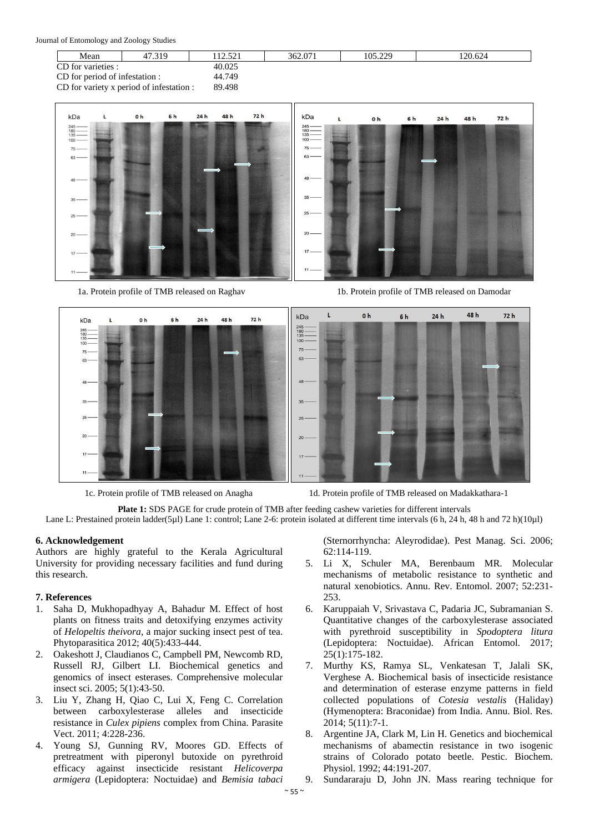Journal of Entomology and Zoology Studies

| Mean                                     | 47.319 | 12.521 | 362.071 | 105.229 | ' 20.624 |
|------------------------------------------|--------|--------|---------|---------|----------|
| CD for varieties :                       |        | 40.025 |         |         |          |
| CD for period of infestation :           |        | 44.749 |         |         |          |
| CD for variety x period of infestation : |        | 89.498 |         |         |          |
|                                          |        |        |         |         |          |





1a. Protein profile of TMB released on Raghav 1b. Protein profile of TMB released on Damodar



1c. Protein profile of TMB released on Anagha 1d. Protein profile of TMB released on Madakkathara-1

**Plate 1:** SDS PAGE for crude protein of TMB after feeding cashew varieties for different intervals Lane L: Prestained protein ladder(5µl) Lane 1: control; Lane 2-6: protein isolated at different time intervals (6 h, 24 h, 48 h and 72 h)(10µl)

# **6. Acknowledgement**

Authors are highly grateful to the Kerala Agricultural University for providing necessary facilities and fund during this research.

# **7. References**

- 1. Saha D, Mukhopadhyay A, Bahadur M. Effect of host plants on fitness traits and detoxifying enzymes activity of *Helopeltis theivora*, a major sucking insect pest of tea. Phytoparasitica 2012; 40(5):433-444.
- 2. Oakeshott J, Claudianos C, Campbell PM, Newcomb RD, Russell RJ, Gilbert LI. Biochemical genetics and genomics of insect esterases. Comprehensive molecular insect sci. 2005; 5(1):43-50.
- 3. Liu Y, Zhang H, Qiao C, Lui X, Feng C. Correlation between carboxylesterase alleles and insecticide resistance in *Culex pipiens* complex from China. Parasite Vect. 2011; 4:228-236.
- 4. Young SJ, Gunning RV, Moores GD. Effects of pretreatment with piperonyl butoxide on pyrethroid efficacy against insecticide resistant *Helicoverpa armigera* (Lepidoptera: Noctuidae) and *Bemisia tabaci*

(Sternorrhyncha: Aleyrodidae). Pest Manag. Sci. 2006; 62:114-119.

- 5. Li X, Schuler MA, Berenbaum MR. Molecular mechanisms of metabolic resistance to synthetic and natural xenobiotics. Annu. Rev. Entomol. 2007; 52:231- 253.
- 6. Karuppaiah V, Srivastava C, Padaria JC, Subramanian S. Quantitative changes of the carboxylesterase associated with pyrethroid susceptibility in *Spodoptera litura* (Lepidoptera: Noctuidae). African Entomol. 2017; 25(1):175-182.
- 7. Murthy KS, Ramya SL, Venkatesan T, Jalali SK, Verghese A. Biochemical basis of insecticide resistance and determination of esterase enzyme patterns in field collected populations of *Cotesia vestalis* (Haliday) (Hymenoptera: Braconidae) from India. Annu. Biol. Res. 2014; 5(11):7-1.
- 8. Argentine JA, Clark M, Lin H. Genetics and biochemical mechanisms of abamectin resistance in two isogenic strains of Colorado potato beetle. Pestic. Biochem. Physiol. 1992; 44:191-207.
- 9. Sundararaju D, John JN. Mass rearing technique for